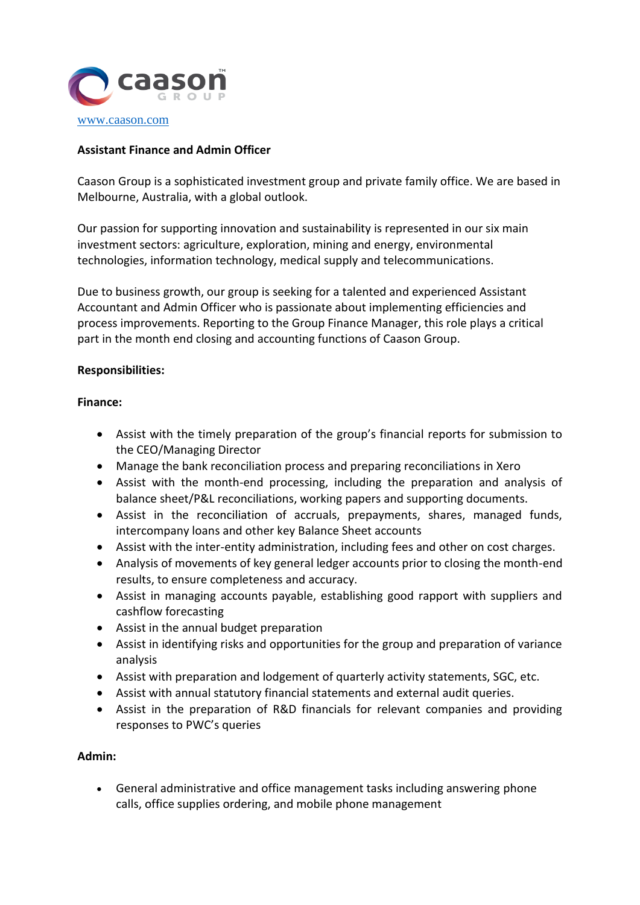

## **Assistant Finance and Admin Officer**

Caason Group is a sophisticated investment group and private family office. We are based in Melbourne, Australia, with a global outlook.

Our passion for supporting innovation and sustainability is represented in our six main investment sectors: agriculture, exploration, mining and energy, environmental technologies, information technology, medical supply and telecommunications.

Due to business growth, our group is seeking for a talented and experienced Assistant Accountant and Admin Officer who is passionate about implementing efficiencies and process improvements. Reporting to the Group Finance Manager, this role plays a critical part in the month end closing and accounting functions of Caason Group.

## **Responsibilities:**

## **Finance:**

- Assist with the timely preparation of the group's financial reports for submission to the CEO/Managing Director
- Manage the bank reconciliation process and preparing reconciliations in Xero
- Assist with the month-end processing, including the preparation and analysis of balance sheet/P&L reconciliations, working papers and supporting documents.
- Assist in the reconciliation of accruals, prepayments, shares, managed funds, intercompany loans and other key Balance Sheet accounts
- Assist with the inter-entity administration, including fees and other on cost charges.
- Analysis of movements of key general ledger accounts prior to closing the month-end results, to ensure completeness and accuracy.
- Assist in managing accounts payable, establishing good rapport with suppliers and cashflow forecasting
- Assist in the annual budget preparation
- Assist in identifying risks and opportunities for the group and preparation of variance analysis
- Assist with preparation and lodgement of quarterly activity statements, SGC, etc.
- Assist with annual statutory financial statements and external audit queries.
- Assist in the preparation of R&D financials for relevant companies and providing responses to PWC's queries

# **Admin:**

• General administrative and office management tasks including answering phone calls, office supplies ordering, and mobile phone management